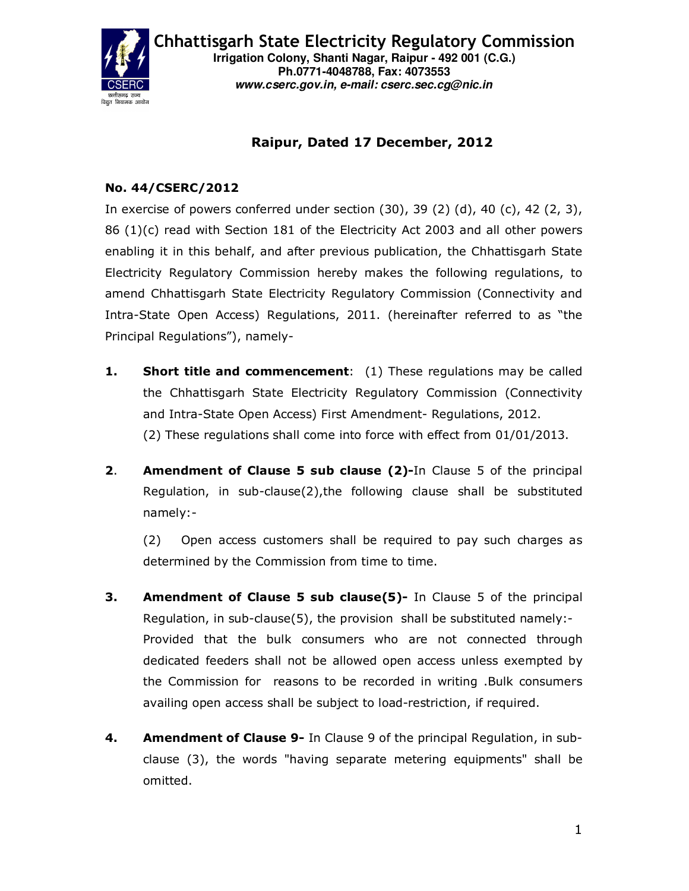

Chhattisgarh State Electricity Regulatory Commission **Irrigation Colony, Shanti Nagar, Raipur - 492 001 (C.G.) Ph.0771-4048788, Fax: 4073553 www.cserc.gov.in, e-mail: cserc.sec.cg@nic.in** 

## Raipur, Dated 17 December, 2012

## No. 44/CSERC/2012

In exercise of powers conferred under section (30), 39 (2) (d), 40 (c), 42 (2, 3), 86 (1)(c) read with Section 181 of the Electricity Act 2003 and all other powers enabling it in this behalf, and after previous publication, the Chhattisgarh State Electricity Regulatory Commission hereby makes the following regulations, to amend Chhattisgarh State Electricity Regulatory Commission (Connectivity and Intra-State Open Access) Regulations, 2011. (hereinafter referred to as "the Principal Regulations"), namely-

- **1.** Short title and commencement: (1) These regulations may be called the Chhattisgarh State Electricity Regulatory Commission (Connectivity and Intra-State Open Access) First Amendment- Regulations, 2012. (2) These regulations shall come into force with effect from 01/01/2013.
- **2.** Amendment of Clause 5 sub clause (2)-In Clause 5 of the principal Regulation, in sub-clause(2),the following clause shall be substituted namely:-

(2) Open access customers shall be required to pay such charges as determined by the Commission from time to time.

- **3.** Amendment of Clause 5 sub clause(5)- In Clause 5 of the principal Regulation, in sub-clause(5), the provision shall be substituted namely:- Provided that the bulk consumers who are not connected through dedicated feeders shall not be allowed open access unless exempted by the Commission for reasons to be recorded in writing .Bulk consumers availing open access shall be subject to load-restriction, if required.
- **4.** Amendment of Clause 9- In Clause 9 of the principal Regulation, in subclause (3), the words "having separate metering equipments" shall be omitted.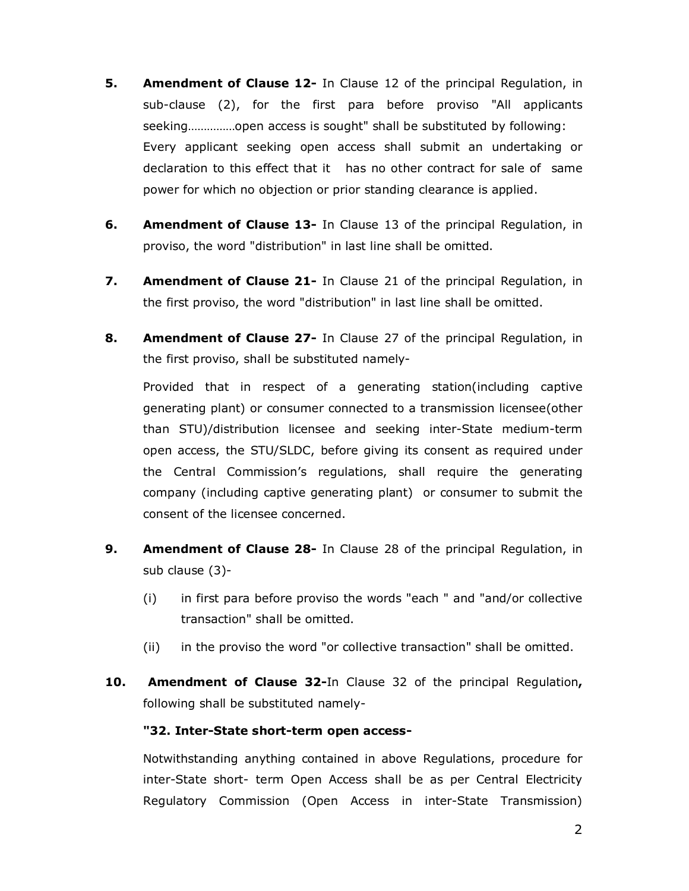- **5.** Amendment of Clause 12- In Clause 12 of the principal Regulation, in sub-clause (2), for the first para before proviso "All applicants seeking……………open access is sought" shall be substituted by following: Every applicant seeking open access shall submit an undertaking or declaration to this effect that it has no other contract for sale of same power for which no objection or prior standing clearance is applied.
- **6.** Amendment of Clause 13- In Clause 13 of the principal Regulation, in proviso, the word "distribution" in last line shall be omitted.
- **7.** Amendment of Clause 21- In Clause 21 of the principal Regulation, in the first proviso, the word "distribution" in last line shall be omitted.
- 8. Amendment of Clause 27- In Clause 27 of the principal Regulation, in the first proviso, shall be substituted namely-

Provided that in respect of a generating station(including captive generating plant) or consumer connected to a transmission licensee(other than STU)/distribution licensee and seeking inter-State medium-term open access, the STU/SLDC, before giving its consent as required under the Central Commission's regulations, shall require the generating company (including captive generating plant) or consumer to submit the consent of the licensee concerned.

- **9.** Amendment of Clause 28- In Clause 28 of the principal Regulation, in sub clause (3)-
	- (i) in first para before proviso the words "each " and "and/or collective transaction" shall be omitted.
	- (ii) in the proviso the word "or collective transaction" shall be omitted.
- 10. Amendment of Clause 32-In Clause 32 of the principal Regulation, following shall be substituted namely-

## "32. Inter-State short-term open access-

Notwithstanding anything contained in above Regulations, procedure for inter-State short- term Open Access shall be as per Central Electricity Regulatory Commission (Open Access in inter-State Transmission)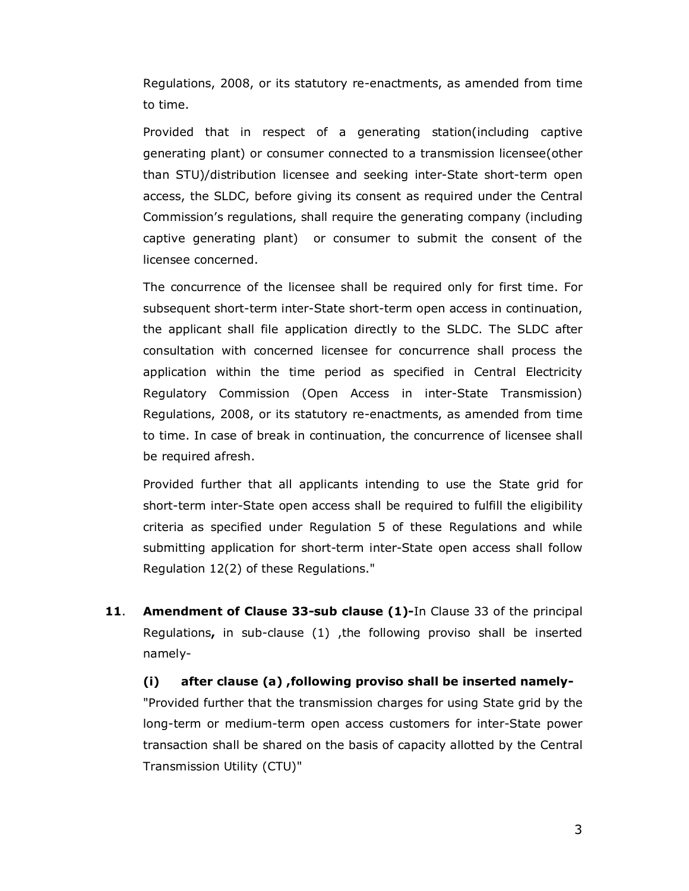Regulations, 2008, or its statutory re-enactments, as amended from time to time.

Provided that in respect of a generating station(including captive generating plant) or consumer connected to a transmission licensee(other than STU)/distribution licensee and seeking inter-State short-term open access, the SLDC, before giving its consent as required under the Central Commission's regulations, shall require the generating company (including captive generating plant) or consumer to submit the consent of the licensee concerned.

The concurrence of the licensee shall be required only for first time. For subsequent short-term inter-State short-term open access in continuation, the applicant shall file application directly to the SLDC. The SLDC after consultation with concerned licensee for concurrence shall process the application within the time period as specified in Central Electricity Regulatory Commission (Open Access in inter-State Transmission) Regulations, 2008, or its statutory re-enactments, as amended from time to time. In case of break in continuation, the concurrence of licensee shall be required afresh.

Provided further that all applicants intending to use the State grid for short-term inter-State open access shall be required to fulfill the eligibility criteria as specified under Regulation 5 of these Regulations and while submitting application for short-term inter-State open access shall follow Regulation 12(2) of these Regulations."

11. Amendment of Clause 33-sub clause (1)-In Clause 33 of the principal Regulations, in sub-clause (1) ,the following proviso shall be inserted namely-

(i) after clause (a) ,following proviso shall be inserted namely- "Provided further that the transmission charges for using State grid by the long-term or medium-term open access customers for inter-State power transaction shall be shared on the basis of capacity allotted by the Central Transmission Utility (CTU)"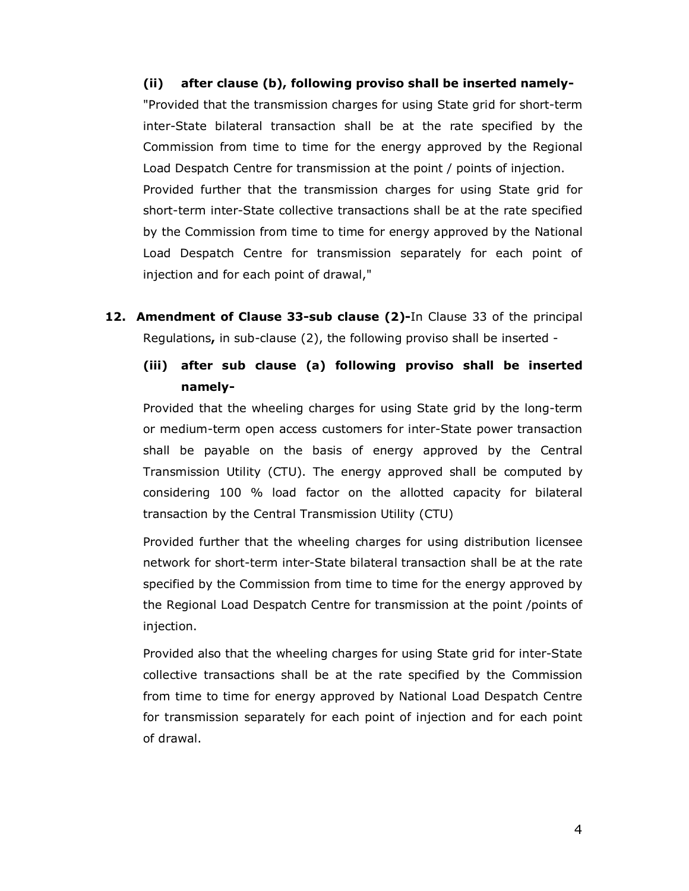(ii) after clause (b), following proviso shall be inserted namely- "Provided that the transmission charges for using State grid for short-term inter-State bilateral transaction shall be at the rate specified by the Commission from time to time for the energy approved by the Regional Load Despatch Centre for transmission at the point / points of injection. Provided further that the transmission charges for using State grid for short-term inter-State collective transactions shall be at the rate specified by the Commission from time to time for energy approved by the National Load Despatch Centre for transmission separately for each point of injection and for each point of drawal,"

- 12. Amendment of Clause 33-sub clause (2)-In Clause 33 of the principal Regulations, in sub-clause (2), the following proviso shall be inserted -
	- (iii) after sub clause (a) following proviso shall be inserted namely-

Provided that the wheeling charges for using State grid by the long-term or medium-term open access customers for inter-State power transaction shall be payable on the basis of energy approved by the Central Transmission Utility (CTU). The energy approved shall be computed by considering 100 % load factor on the allotted capacity for bilateral transaction by the Central Transmission Utility (CTU)

Provided further that the wheeling charges for using distribution licensee network for short-term inter-State bilateral transaction shall be at the rate specified by the Commission from time to time for the energy approved by the Regional Load Despatch Centre for transmission at the point /points of injection.

Provided also that the wheeling charges for using State grid for inter-State collective transactions shall be at the rate specified by the Commission from time to time for energy approved by National Load Despatch Centre for transmission separately for each point of injection and for each point of drawal.